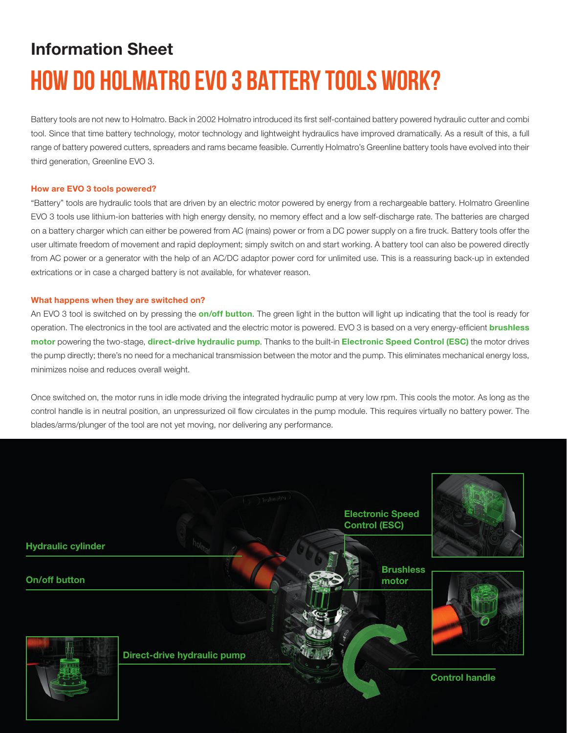# Information Sheet **HOW DO HOLMATRO EVO 3 BATTERY TOOLS WORK?**

Battery tools are not new to Holmatro. Back in 2002 Holmatro introduced its first self-contained battery powered hydraulic cutter and combi tool. Since that time battery technology, motor technology and lightweight hydraulics have improved dramatically. As a result of this, a full range of battery powered cutters, spreaders and rams became feasible. Currently Holmatro's Greenline battery tools have evolved into their third generation, Greenline EVO 3.

## How are EVO 3 tools powered?

"Battery" tools are hydraulic tools that are driven by an electric motor powered by energy from a rechargeable battery. Holmatro Greenline EVO 3 tools use lithium-ion batteries with high energy density, no memory effect and a low self-discharge rate. The batteries are charged on a battery charger which can either be powered from AC (mains) power or from a DC power supply on a fire truck. Battery tools offer the user ultimate freedom of movement and rapid deployment; simply switch on and start working. A battery tool can also be powered directly from AC power or a generator with the help of an AC/DC adaptor power cord for unlimited use. This is a reassuring back-up in extended extrications or in case a charged battery is not available, for whatever reason.

#### What happens when they are switched on?

An EVO 3 tool is switched on by pressing the **on/off button**. The green light in the button will light up indicating that the tool is ready for operation. The electronics in the tool are activated and the electric motor is powered. EVO 3 is based on a very energy-efficient **brushless** motor powering the two-stage, direct-drive hydraulic pump. Thanks to the built-in Electronic Speed Control (ESC) the motor drives the pump directly; there's no need for a mechanical transmission between the motor and the pump. This eliminates mechanical energy loss, minimizes noise and reduces overall weight.

Once switched on, the motor runs in idle mode driving the integrated hydraulic pump at very low rpm. This cools the motor. As long as the control handle is in neutral position, an unpressurized oil flow circulates in the pump module. This requires virtually no battery power. The blades/arms/plunger of the tool are not yet moving, nor delivering any performance.